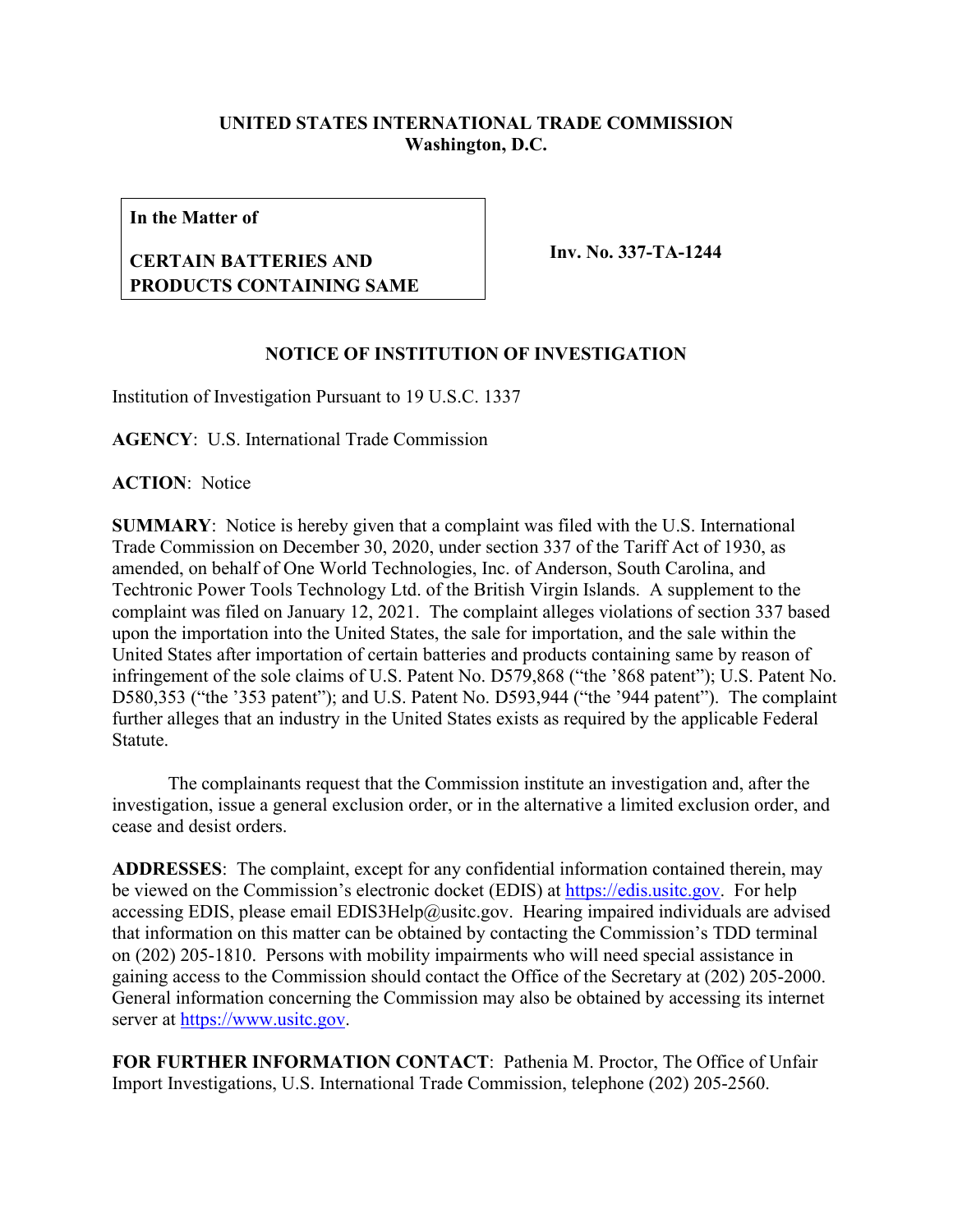## **UNITED STATES INTERNATIONAL TRADE COMMISSION Washington, D.C.**

**In the Matter of**

## **CERTAIN BATTERIES AND PRODUCTS CONTAINING SAME**

**Inv. No. 337-TA-1244**

## **NOTICE OF INSTITUTION OF INVESTIGATION**

Institution of Investigation Pursuant to 19 U.S.C. 1337

**AGENCY**: U.S. International Trade Commission

**ACTION**: Notice

**SUMMARY**: Notice is hereby given that a complaint was filed with the U.S. International Trade Commission on December 30, 2020, under section 337 of the Tariff Act of 1930, as amended, on behalf of One World Technologies, Inc. of Anderson, South Carolina, and Techtronic Power Tools Technology Ltd. of the British Virgin Islands. A supplement to the complaint was filed on January 12, 2021. The complaint alleges violations of section 337 based upon the importation into the United States, the sale for importation, and the sale within the United States after importation of certain batteries and products containing same by reason of infringement of the sole claims of U.S. Patent No. D579,868 ("the '868 patent"); U.S. Patent No. D580,353 ("the '353 patent"); and U.S. Patent No. D593,944 ("the '944 patent"). The complaint further alleges that an industry in the United States exists as required by the applicable Federal Statute.

The complainants request that the Commission institute an investigation and, after the investigation, issue a general exclusion order, or in the alternative a limited exclusion order, and cease and desist orders.

**ADDRESSES**: The complaint, except for any confidential information contained therein, may be viewed on the Commission's electronic docket (EDIS) at [https://edis.usitc.gov.](https://edis.usitc.gov/) For help accessing EDIS, please email EDIS3Help@usitc.gov. Hearing impaired individuals are advised that information on this matter can be obtained by contacting the Commission's TDD terminal on (202) 205-1810. Persons with mobility impairments who will need special assistance in gaining access to the Commission should contact the Office of the Secretary at (202) 205-2000. General information concerning the Commission may also be obtained by accessing its internet server at [https://www.usitc.gov.](https://www.usitc.gov/)

**FOR FURTHER INFORMATION CONTACT**: Pathenia M. Proctor, The Office of Unfair Import Investigations, U.S. International Trade Commission, telephone (202) 205-2560.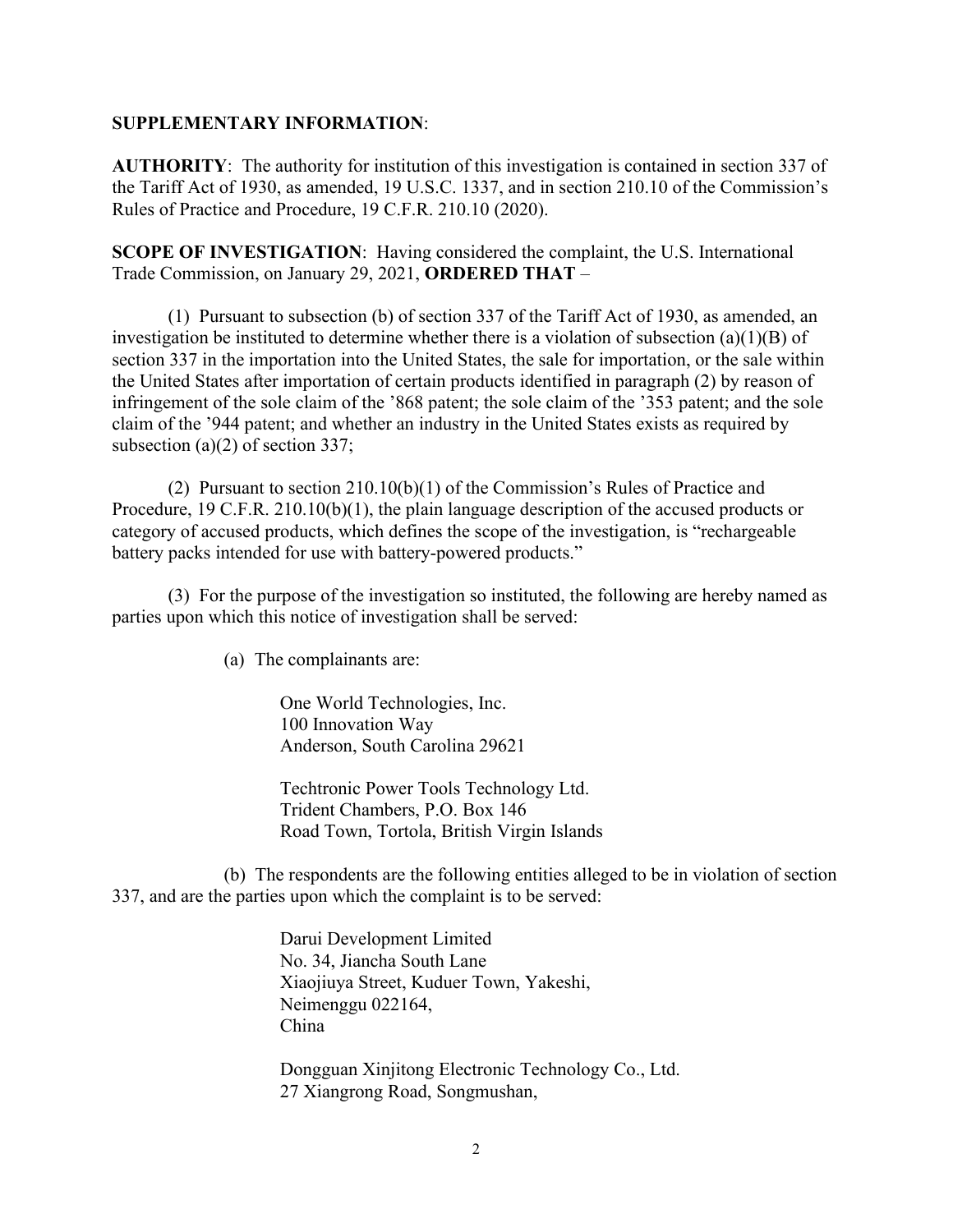## **SUPPLEMENTARY INFORMATION**:

**AUTHORITY**: The authority for institution of this investigation is contained in section 337 of the Tariff Act of 1930, as amended, 19 U.S.C. 1337, and in section 210.10 of the Commission's Rules of Practice and Procedure, 19 C.F.R. 210.10 (2020).

**SCOPE OF INVESTIGATION**: Having considered the complaint, the U.S. International Trade Commission, on January 29, 2021, **ORDERED THAT** –

(1) Pursuant to subsection (b) of section 337 of the Tariff Act of 1930, as amended, an investigation be instituted to determine whether there is a violation of subsection (a)(1)(B) of section 337 in the importation into the United States, the sale for importation, or the sale within the United States after importation of certain products identified in paragraph (2) by reason of infringement of the sole claim of the '868 patent; the sole claim of the '353 patent; and the sole claim of the '944 patent; and whether an industry in the United States exists as required by subsection (a)(2) of section 337;

(2) Pursuant to section 210.10(b)(1) of the Commission's Rules of Practice and Procedure, 19 C.F.R. 210.10(b)(1), the plain language description of the accused products or category of accused products, which defines the scope of the investigation, is "rechargeable battery packs intended for use with battery-powered products."

(3) For the purpose of the investigation so instituted, the following are hereby named as parties upon which this notice of investigation shall be served:

(a) The complainants are:

One World Technologies, Inc. 100 Innovation Way Anderson, South Carolina 29621

Techtronic Power Tools Technology Ltd. Trident Chambers, P.O. Box 146 Road Town, Tortola, British Virgin Islands

(b) The respondents are the following entities alleged to be in violation of section 337, and are the parties upon which the complaint is to be served:

> Darui Development Limited No. 34, Jiancha South Lane Xiaojiuya Street, Kuduer Town, Yakeshi, Neimenggu 022164, China

Dongguan Xinjitong Electronic Technology Co., Ltd. 27 Xiangrong Road, Songmushan,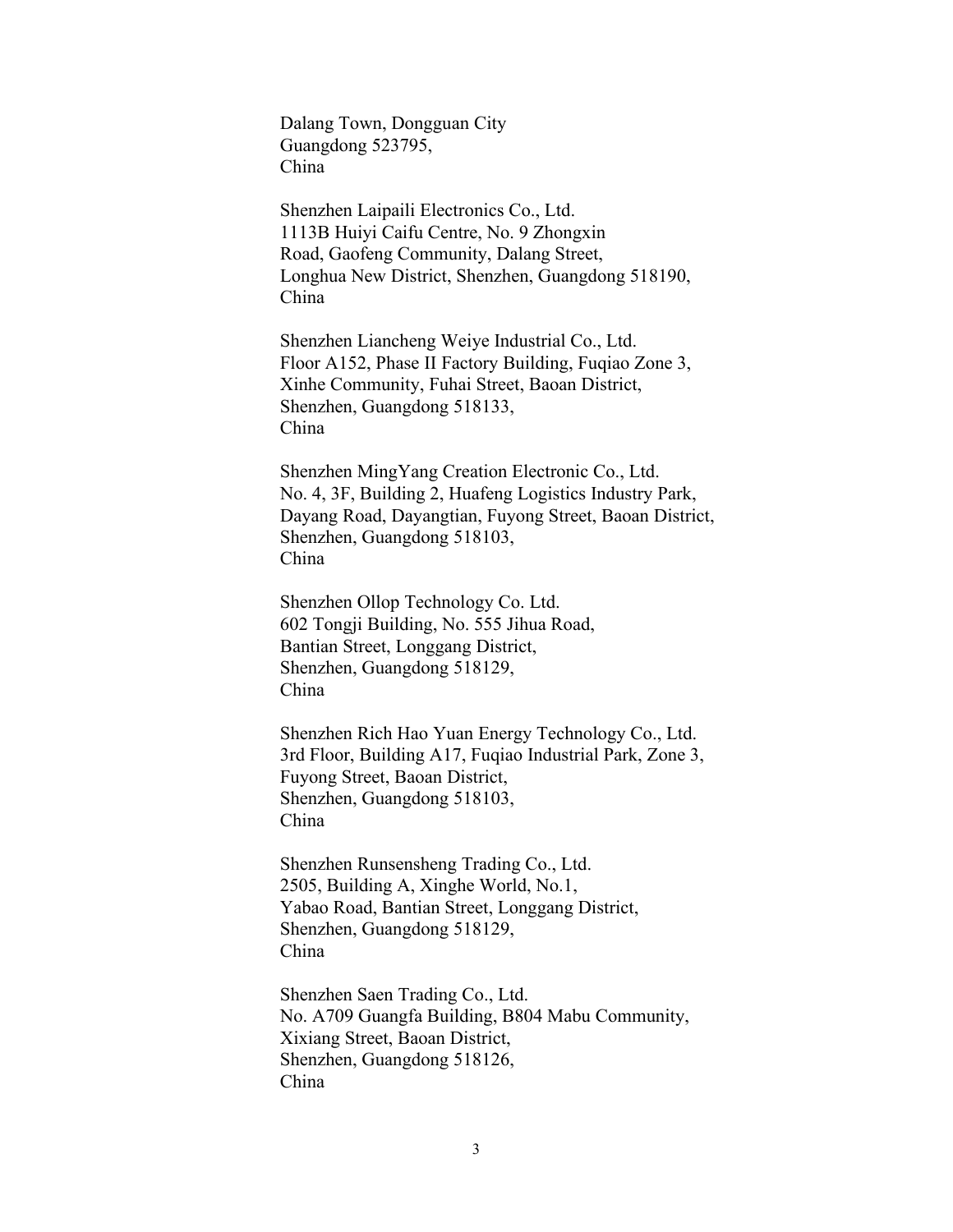Dalang Town, Dongguan City Guangdong 523795, China

Shenzhen Laipaili Electronics Co., Ltd. 1113B Huiyi Caifu Centre, No. 9 Zhongxin Road, Gaofeng Community, Dalang Street, Longhua New District, Shenzhen, Guangdong 518190, China

Shenzhen Liancheng Weiye Industrial Co., Ltd. Floor A152, Phase II Factory Building, Fuqiao Zone 3, Xinhe Community, Fuhai Street, Baoan District, Shenzhen, Guangdong 518133, China

Shenzhen MingYang Creation Electronic Co., Ltd. No. 4, 3F, Building 2, Huafeng Logistics Industry Park, Dayang Road, Dayangtian, Fuyong Street, Baoan District, Shenzhen, Guangdong 518103, China

Shenzhen Ollop Technology Co. Ltd. 602 Tongji Building, No. 555 Jihua Road, Bantian Street, Longgang District, Shenzhen, Guangdong 518129, China

Shenzhen Rich Hao Yuan Energy Technology Co., Ltd. 3rd Floor, Building A17, Fuqiao Industrial Park, Zone 3, Fuyong Street, Baoan District, Shenzhen, Guangdong 518103, China

Shenzhen Runsensheng Trading Co., Ltd. 2505, Building A, Xinghe World, No.1, Yabao Road, Bantian Street, Longgang District, Shenzhen, Guangdong 518129, China

Shenzhen Saen Trading Co., Ltd. No. A709 Guangfa Building, B804 Mabu Community, Xixiang Street, Baoan District, Shenzhen, Guangdong 518126, China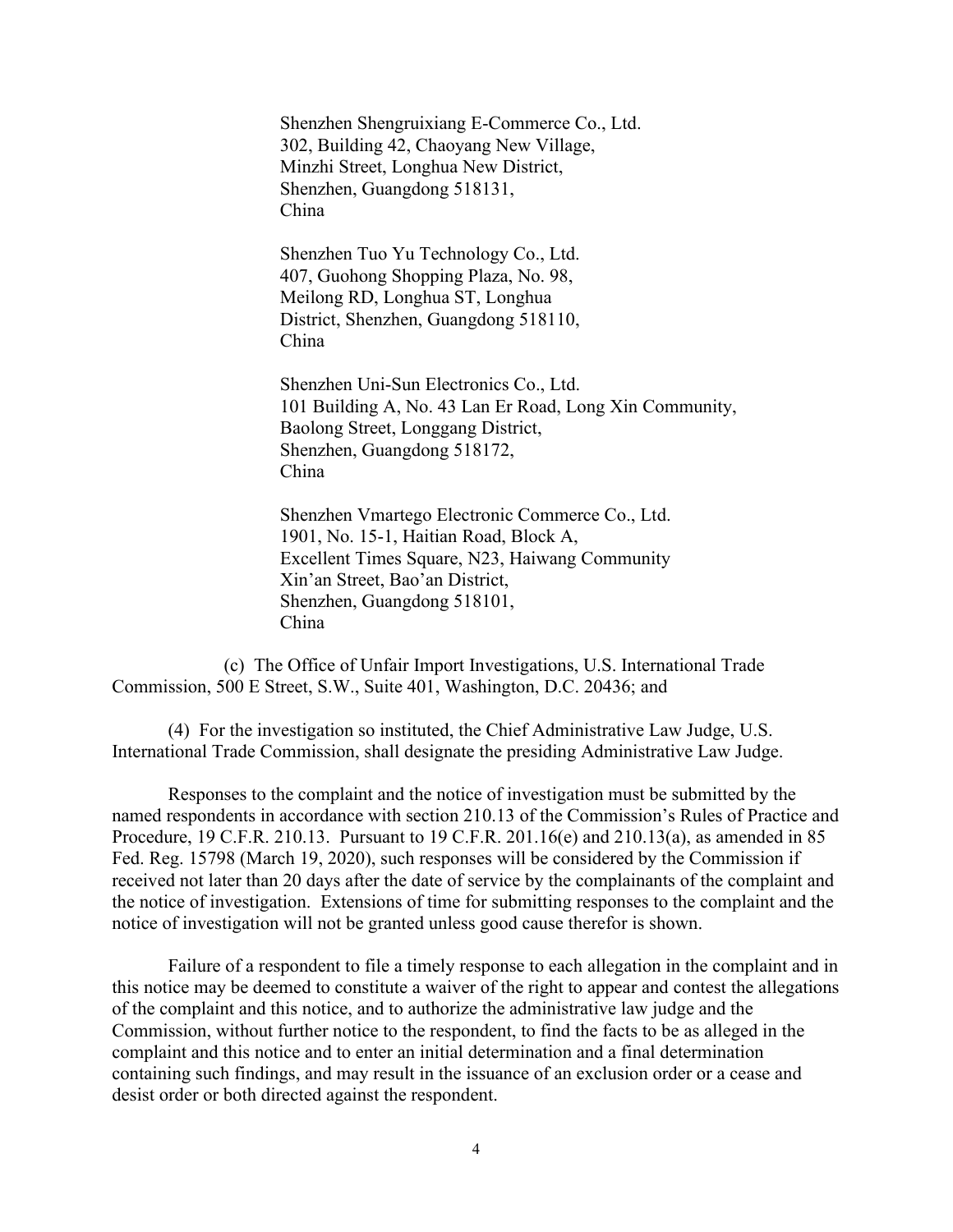Shenzhen Shengruixiang E-Commerce Co., Ltd. 302, Building 42, Chaoyang New Village, Minzhi Street, Longhua New District, Shenzhen, Guangdong 518131, China

Shenzhen Tuo Yu Technology Co., Ltd. 407, Guohong Shopping Plaza, No. 98, Meilong RD, Longhua ST, Longhua District, Shenzhen, Guangdong 518110, China

Shenzhen Uni-Sun Electronics Co., Ltd. 101 Building A, No. 43 Lan Er Road, Long Xin Community, Baolong Street, Longgang District, Shenzhen, Guangdong 518172, China

Shenzhen Vmartego Electronic Commerce Co., Ltd. 1901, No. 15-1, Haitian Road, Block A, Excellent Times Square, N23, Haiwang Community Xin'an Street, Bao'an District, Shenzhen, Guangdong 518101, China

(c) The Office of Unfair Import Investigations, U.S. International Trade Commission, 500 E Street, S.W., Suite 401, Washington, D.C. 20436; and

(4) For the investigation so instituted, the Chief Administrative Law Judge, U.S. International Trade Commission, shall designate the presiding Administrative Law Judge.

Responses to the complaint and the notice of investigation must be submitted by the named respondents in accordance with section 210.13 of the Commission's Rules of Practice and Procedure, 19 C.F.R. 210.13. Pursuant to 19 C.F.R. 201.16(e) and 210.13(a), as amended in 85 Fed. Reg. 15798 (March 19, 2020), such responses will be considered by the Commission if received not later than 20 days after the date of service by the complainants of the complaint and the notice of investigation. Extensions of time for submitting responses to the complaint and the notice of investigation will not be granted unless good cause therefor is shown.

Failure of a respondent to file a timely response to each allegation in the complaint and in this notice may be deemed to constitute a waiver of the right to appear and contest the allegations of the complaint and this notice, and to authorize the administrative law judge and the Commission, without further notice to the respondent, to find the facts to be as alleged in the complaint and this notice and to enter an initial determination and a final determination containing such findings, and may result in the issuance of an exclusion order or a cease and desist order or both directed against the respondent.